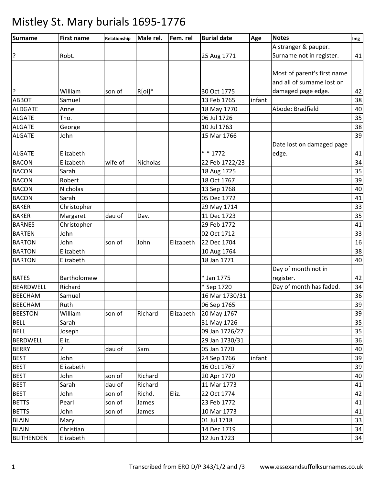| Surname           | <b>First name</b> | Relationship | Male rel. | Fem. rel  | <b>Burial date</b> | Age    | <b>Notes</b>                | Img |
|-------------------|-------------------|--------------|-----------|-----------|--------------------|--------|-----------------------------|-----|
|                   |                   |              |           |           |                    |        | A stranger & pauper.        |     |
| ?                 | Robt.             |              |           |           | 25 Aug 1771        |        | Surname not in register.    | 41  |
|                   |                   |              |           |           |                    |        |                             |     |
|                   |                   |              |           |           |                    |        | Most of parent's first name |     |
|                   |                   |              |           |           |                    |        | and all of surname lost on  |     |
| ۱?                | William           | son of       | $R[oi]^*$ |           | 30 Oct 1775        |        | damaged page edge.          | 42  |
| <b>ABBOT</b>      | Samuel            |              |           |           | 13 Feb 1765        | infant |                             | 38  |
| ALDGATE           | Anne              |              |           |           | 18 May 1770        |        | Abode: Bradfield            | 40  |
| <b>ALGATE</b>     | Tho.              |              |           |           | 06 Jul 1726        |        |                             | 35  |
| <b>ALGATE</b>     | George            |              |           |           | 10 Jul 1763        |        |                             | 38  |
| <b>ALGATE</b>     | John              |              |           |           | 15 Mar 1766        |        |                             | 39  |
|                   |                   |              |           |           |                    |        | Date lost on damaged page   |     |
| <b>ALGATE</b>     | Elizabeth         |              |           |           | $* * 1772$         |        | edge.                       | 41  |
| <b>BACON</b>      | Elizabeth         | wife of      | Nicholas  |           | 22 Feb 1722/23     |        |                             | 34  |
| <b>BACON</b>      | Sarah             |              |           |           | 18 Aug 1725        |        |                             | 35  |
| <b>BACON</b>      | Robert            |              |           |           | 18 Oct 1767        |        |                             | 39  |
| <b>BACON</b>      | Nicholas          |              |           |           | 13 Sep 1768        |        |                             | 40  |
| <b>BACON</b>      | Sarah             |              |           |           | 05 Dec 1772        |        |                             | 41  |
| <b>BAKER</b>      | Christopher       |              |           |           | 29 May 1714        |        |                             | 33  |
| <b>BAKER</b>      | Margaret          | dau of       | Dav.      |           | 11 Dec 1723        |        |                             | 35  |
| <b>BARNES</b>     | Christopher       |              |           |           | 29 Feb 1772        |        |                             | 41  |
| <b>BARTEN</b>     | John              |              |           |           | 02 Oct 1712        |        |                             | 33  |
| <b>BARTON</b>     | John              | son of       | John      | Elizabeth | 22 Dec 1704        |        |                             | 16  |
| <b>BARTON</b>     | Elizabeth         |              |           |           | 10 Aug 1764        |        |                             | 38  |
| <b>BARTON</b>     | Elizabeth         |              |           |           | 18 Jan 1771        |        |                             | 40  |
|                   |                   |              |           |           |                    |        | Day of month not in         |     |
| <b>BATES</b>      | Bartholomew       |              |           |           | * Jan 1775         |        | register.                   | 42  |
| <b>BEARDWELL</b>  | Richard           |              |           |           | * Sep 1720         |        | Day of month has faded.     | 34  |
| <b>BEECHAM</b>    | Samuel            |              |           |           | 16 Mar 1730/31     |        |                             | 36  |
| <b>BEECHAM</b>    | Ruth              |              |           |           | 06 Sep 1765        |        |                             | 39  |
| <b>BEESTON</b>    | William           | son of       | Richard   | Elizabeth | 20 May 1767        |        |                             | 39  |
| <b>BELL</b>       | Sarah             |              |           |           | 31 May 1726        |        |                             | 35  |
| <b>BELL</b>       | Joseph            |              |           |           | 09 Jan 1726/27     |        |                             | 35  |
| <b>BERDWELL</b>   | Eliz.             |              |           |           | 29 Jan 1730/31     |        |                             | 36  |
| <b>BERRY</b>      | ŗ                 | dau of       | Sam.      |           | 05 Jan 1770        |        |                             | 40  |
| <b>BEST</b>       | John              |              |           |           | 24 Sep 1766        | infant |                             | 39  |
| <b>BEST</b>       | Elizabeth         |              |           |           | 16 Oct 1767        |        |                             | 39  |
| <b>BEST</b>       | John              | son of       | Richard   |           | 20 Apr 1770        |        |                             | 40  |
| <b>BEST</b>       | Sarah             | dau of       | Richard   |           | 11 Mar 1773        |        |                             | 41  |
| <b>BEST</b>       | John              | son of       | Richd.    | Eliz.     | 22 Oct 1774        |        |                             | 42  |
| <b>BETTS</b>      | Pearl             | son of       | James     |           | 23 Feb 1772        |        |                             | 41  |
| <b>BETTS</b>      | John              | son of       | James     |           | 10 Mar 1773        |        |                             | 41  |
| <b>BLAIN</b>      | Mary              |              |           |           | 01 Jul 1718        |        |                             | 33  |
| <b>BLAIN</b>      | Christian         |              |           |           | 14 Dec 1719        |        |                             | 34  |
| <b>BLITHENDEN</b> | Elizabeth         |              |           |           | 12 Jun 1723        |        |                             | 34  |
|                   |                   |              |           |           |                    |        |                             |     |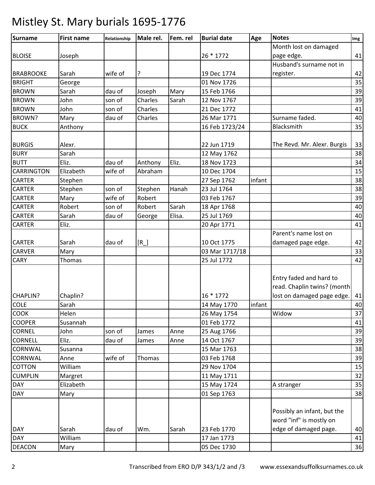| <b>Surname</b>    | <b>First name</b> | Relationship | Male rel. | Fem. rel | <b>Burial date</b> | Age    | <b>Notes</b>                                                                        | Img |
|-------------------|-------------------|--------------|-----------|----------|--------------------|--------|-------------------------------------------------------------------------------------|-----|
|                   |                   |              |           |          |                    |        | Month lost on damaged                                                               |     |
| <b>BLOISE</b>     | Joseph            |              |           |          | 26 * 1772          |        | page edge.                                                                          | 41  |
|                   |                   |              |           |          |                    |        | Husband's surname not in                                                            |     |
| <b>BRABROOKE</b>  | Sarah             | wife of      | ?         |          | 19 Dec 1774        |        | register.                                                                           | 42  |
| <b>BRIGHT</b>     | George            |              |           |          | 01 Nov 1726        |        |                                                                                     | 35  |
| <b>BROWN</b>      | Sarah             | dau of       | Joseph    | Mary     | 15 Feb 1766        |        |                                                                                     | 39  |
| <b>BROWN</b>      | John              | son of       | Charles   | Sarah    | 12 Nov 1767        |        |                                                                                     | 39  |
| <b>BROWN</b>      | John              | son of       | Charles   |          | 21 Dec 1772        |        |                                                                                     | 41  |
| BROWN?            | Mary              | dau of       | Charles   |          | 26 Mar 1771        |        | Surname faded.                                                                      | 40  |
| <b>BUCK</b>       | Anthony           |              |           |          | 16 Feb 1723/24     |        | Blacksmith                                                                          | 35  |
| <b>BURGIS</b>     | Alexr.            |              |           |          | 22 Jun 1719        |        | The Revd. Mr. Alexr. Burgis                                                         | 33  |
| <b>BURY</b>       | Sarah             |              |           |          | 12 May 1762        |        |                                                                                     | 38  |
| <b>BUTT</b>       | Eliz.             | dau of       | Anthony   | Eliz.    | 18 Nov 1723        |        |                                                                                     | 34  |
| <b>CARRINGTON</b> | Elizabeth         | wife of      | Abraham   |          | 10 Dec 1704        |        |                                                                                     | 15  |
| <b>CARTER</b>     | Stephen           |              |           |          | 27 Sep 1762        | infant |                                                                                     | 38  |
| <b>CARTER</b>     | Stephen           | son of       | Stephen   | Hanah    | 23 Jul 1764        |        |                                                                                     | 38  |
| <b>CARTER</b>     | Mary              | wife of      | Robert    |          | 03 Feb 1767        |        |                                                                                     | 39  |
| <b>CARTER</b>     | Robert            | son of       | Robert    | Sarah    | 18 Apr 1768        |        |                                                                                     | 40  |
| <b>CARTER</b>     | Sarah             | dau of       | George    | Elisa.   | 25 Jul 1769        |        |                                                                                     | 40  |
| <b>CARTER</b>     | Eliz.             |              |           |          | 20 Apr 1771        |        |                                                                                     | 41  |
|                   |                   |              |           |          |                    |        | Parent's name lost on                                                               |     |
| <b>CARTER</b>     | Sarah             | dau of       | $[R_$     |          | 10 Oct 1775        |        | damaged page edge.                                                                  | 42  |
| <b>CARVER</b>     | Mary              |              |           |          | 03 Mar 1717/18     |        |                                                                                     | 33  |
| <b>CARY</b>       | Thomas            |              |           |          | 25 Jul 1772        |        |                                                                                     | 42  |
| <b>CHAPLIN?</b>   | Chaplin?          |              |           |          | 16 * 1772          |        | Entry faded and hard to<br>read. Chaplin twins? (month<br>lost on damaged page edge | 41  |
| <b>COLE</b>       | Sarah             |              |           |          | 14 May 1770        | infant |                                                                                     | 40  |
| <b>COOK</b>       | Helen             |              |           |          | 26 May 1754        |        | Widow                                                                               | 37  |
| <b>COOPER</b>     | Susannah          |              |           |          | 01 Feb 1772        |        |                                                                                     | 41  |
| <b>CORNEL</b>     | John              | son of       | James     | Anne     | 25 Aug 1766        |        |                                                                                     | 39  |
| <b>CORNELL</b>    | Eliz.             | dau of       | James     | Anne     | 14 Oct 1767        |        |                                                                                     | 39  |
| <b>CORNWAL</b>    | Susanna           |              |           |          | 15 Mar 1763        |        |                                                                                     | 38  |
| <b>CORNWAL</b>    | Anne              | wife of      | Thomas    |          | 03 Feb 1768        |        |                                                                                     | 39  |
| <b>COTTON</b>     | William           |              |           |          | 29 Nov 1704        |        |                                                                                     | 15  |
| <b>CUMPLIN</b>    | Margret           |              |           |          | 11 May 1711        |        |                                                                                     | 32  |
| <b>DAY</b>        | Elizabeth         |              |           |          | 15 May 1724        |        | A stranger                                                                          | 35  |
| <b>DAY</b>        | Mary              |              |           |          | 01 Sep 1763        |        |                                                                                     | 38  |
|                   |                   |              |           |          |                    |        | Possibly an infant, but the<br>word "inf" is mostly on                              |     |
| <b>DAY</b>        | Sarah             | dau of       | Wm.       | Sarah    | 23 Feb 1770        |        | edge of damaged page.                                                               | 40  |
| <b>DAY</b>        | William           |              |           |          | 17 Jan 1773        |        |                                                                                     | 41  |
| <b>DEACON</b>     | Mary              |              |           |          | 05 Dec 1730        |        |                                                                                     | 36  |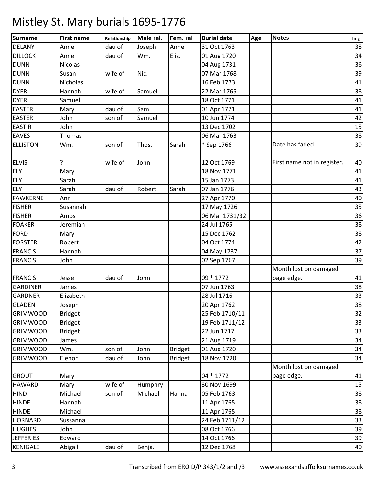| Surname          | <b>First name</b> | Relationship | Male rel. | Fem. rel       | <b>Burial date</b> | Age | <b>Notes</b>                | Img |
|------------------|-------------------|--------------|-----------|----------------|--------------------|-----|-----------------------------|-----|
| <b>DELANY</b>    | Anne              | dau of       | Joseph    | Anne           | 31 Oct 1763        |     |                             | 38  |
| <b>DILLOCK</b>   | Anne              | dau of       | Wm.       | Eliz.          | 01 Aug 1720        |     |                             | 34  |
| <b>DUNN</b>      | <b>Nicolas</b>    |              |           |                | 04 Aug 1731        |     |                             | 36  |
| <b>DUNN</b>      | Susan             | wife of      | Nic.      |                | 07 Mar 1768        |     |                             | 39  |
| <b>DUNN</b>      | Nicholas          |              |           |                | 16 Feb 1773        |     |                             | 41  |
| <b>DYER</b>      | Hannah            | wife of      | Samuel    |                | 22 Mar 1765        |     |                             | 38  |
| <b>DYER</b>      | Samuel            |              |           |                | 18 Oct 1771        |     |                             | 41  |
| <b>EASTER</b>    | Mary              | dau of       | Sam.      |                | 01 Apr 1771        |     |                             | 41  |
| <b>EASTER</b>    | John              | son of       | Samuel    |                | 10 Jun 1774        |     |                             | 42  |
| <b>EASTIR</b>    | John              |              |           |                | 13 Dec 1702        |     |                             | 15  |
| <b>EAVES</b>     | Thomas            |              |           |                | 06 Mar 1763        |     |                             | 38  |
| <b>ELLISTON</b>  | Wm.               | son of       | Thos.     | Sarah          | * Sep 1766         |     | Date has faded              | 39  |
|                  |                   |              |           |                |                    |     |                             |     |
| <b>ELVIS</b>     |                   | wife of      | John      |                | 12 Oct 1769        |     | First name not in register. | 40  |
| <b>ELY</b>       | Mary              |              |           |                | 18 Nov 1771        |     |                             | 41  |
| <b>ELY</b>       | Sarah             |              |           |                | 15 Jan 1773        |     |                             | 41  |
| <b>ELY</b>       | Sarah             | dau of       | Robert    | Sarah          | 07 Jan 1776        |     |                             | 43  |
| <b>FAWKERNE</b>  | Ann               |              |           |                | 27 Apr 1770        |     |                             | 40  |
| <b>FISHER</b>    | Susannah          |              |           |                | 17 May 1726        |     |                             | 35  |
| <b>FISHER</b>    | Amos              |              |           |                | 06 Mar 1731/32     |     |                             | 36  |
| <b>FOAKER</b>    | Jeremiah          |              |           |                | 24 Jul 1765        |     |                             | 38  |
| <b>FORD</b>      | Mary              |              |           |                | 15 Dec 1762        |     |                             | 38  |
| <b>FORSTER</b>   | Robert            |              |           |                | 04 Oct 1774        |     |                             | 42  |
| <b>FRANCIS</b>   | Hannah            |              |           |                | 04 May 1737        |     |                             | 37  |
| <b>FRANCIS</b>   | John              |              |           |                | 02 Sep 1767        |     |                             | 39  |
|                  |                   |              |           |                |                    |     | Month lost on damaged       |     |
| <b>FRANCIS</b>   | Jesse             | dau of       | John      |                | 09 * 1772          |     | page edge.                  | 41  |
| <b>GARDINER</b>  | James             |              |           |                | 07 Jun 1763        |     |                             | 38  |
| <b>GARDNER</b>   | Elizabeth         |              |           |                | 28 Jul 1716        |     |                             | 33  |
| <b>GLADEN</b>    | Joseph            |              |           |                | 20 Apr 1762        |     |                             | 38  |
| <b>GRIMWOOD</b>  | <b>Bridget</b>    |              |           |                | 25 Feb 1710/11     |     |                             | 32  |
| <b>GRIMWOOD</b>  | <b>Bridget</b>    |              |           |                | 19 Feb 1711/12     |     |                             | 33  |
| <b>GRIMWOOD</b>  | <b>Bridget</b>    |              |           |                | 22 Jun 1717        |     |                             | 33  |
| <b>GRIMWOOD</b>  | James             |              |           |                | 21 Aug 1719        |     |                             | 34  |
| <b>GRIMWOOD</b>  | Wm.               | son of       | John      | <b>Bridget</b> | 01 Aug 1720        |     |                             | 34  |
| <b>GRIMWOOD</b>  | Elenor            | dau of       | John      | <b>Bridget</b> | 18 Nov 1720        |     |                             | 34  |
|                  |                   |              |           |                |                    |     | Month lost on damaged       |     |
| <b>GROUT</b>     | Mary              |              |           |                | 04 * 1772          |     | page edge.                  | 41  |
| <b>HAWARD</b>    | Mary              | wife of      | Humphry   |                | 30 Nov 1699        |     |                             | 15  |
| <b>HIND</b>      | Michael           | son of       | Michael   | Hanna          | 05 Feb 1763        |     |                             | 38  |
| <b>HINDE</b>     | Hannah            |              |           |                | 11 Apr 1765        |     |                             | 38  |
| <b>HINDE</b>     | Michael           |              |           |                | 11 Apr 1765        |     |                             | 38  |
| <b>HORNARD</b>   | Sussanna          |              |           |                | 24 Feb 1711/12     |     |                             | 33  |
| <b>HUGHES</b>    | John              |              |           |                | 08 Oct 1766        |     |                             | 39  |
| <b>JEFFERIES</b> | Edward            |              |           |                | 14 Oct 1766        |     |                             | 39  |
| KENIGALE         | Abigail           | dau of       | Benja.    |                | 12 Dec 1768        |     |                             | 40  |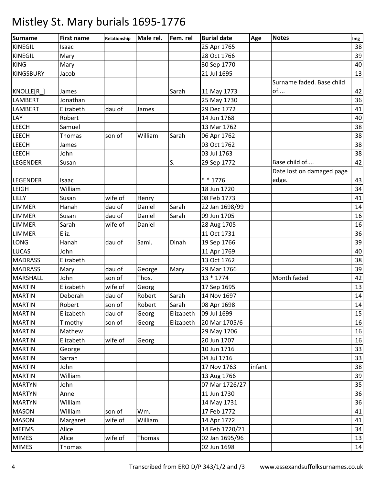| <b>Surname</b>   | <b>First name</b> | Relationship | Male rel. | Fem. rel  | <b>Burial date</b> | Age    | <b>Notes</b>              | Img |
|------------------|-------------------|--------------|-----------|-----------|--------------------|--------|---------------------------|-----|
| <b>KINEGIL</b>   | Isaac             |              |           |           | 25 Apr 1765        |        |                           | 38  |
| <b>KINEGIL</b>   | Mary              |              |           |           | 28 Oct 1766        |        |                           | 39  |
| <b>KING</b>      | Mary              |              |           |           | 30 Sep 1770        |        |                           | 40  |
| <b>KINGSBURY</b> | Jacob             |              |           |           | 21 Jul 1695        |        |                           | 13  |
|                  |                   |              |           |           |                    |        | Surname faded. Base child |     |
| KNOLLE[R_]       | James             |              |           | Sarah     | 11 May 1773        |        | of                        | 42  |
| LAMBERT          | Jonathan          |              |           |           | 25 May 1730        |        |                           | 36  |
| <b>LAMBERT</b>   | Elizabeth         | dau of       | James     |           | 29 Dec 1772        |        |                           | 41  |
| LAY              | Robert            |              |           |           | 14 Jun 1768        |        |                           | 40  |
| <b>LEECH</b>     | Samuel            |              |           |           | 13 Mar 1762        |        |                           | 38  |
| <b>LEECH</b>     | Thomas            | son of       | William   | Sarah     | 06 Apr 1762        |        |                           | 38  |
| <b>LEECH</b>     | James             |              |           |           | 03 Oct 1762        |        |                           | 38  |
| <b>LEECH</b>     | John              |              |           |           | 03 Jul 1763        |        |                           | 38  |
| <b>LEGENDER</b>  | Susan             |              |           | S.        | 29 Sep 1772        |        | Base child of             | 42  |
|                  |                   |              |           |           |                    |        | Date lost on damaged page |     |
| <b>LEGENDER</b>  | Isaac             |              |           |           | $* * 1776$         |        | edge.                     | 43  |
| <b>LEIGH</b>     | William           |              |           |           | 18 Jun 1720        |        |                           | 34  |
| LILLY            | Susan             | wife of      | Henry     |           | 08 Feb 1773        |        |                           | 41  |
| <b>LIMMER</b>    | Hanah             | dau of       | Daniel    | Sarah     | 22 Jan 1698/99     |        |                           | 14  |
| <b>LIMMER</b>    | Susan             | dau of       | Daniel    | Sarah     | 09 Jun 1705        |        |                           | 16  |
| <b>LIMMER</b>    | Sarah             | wife of      | Daniel    |           | 28 Aug 1705        |        |                           | 16  |
| <b>LIMMER</b>    | Eliz.             |              |           |           | 11 Oct 1731        |        |                           | 36  |
| LONG             | Hanah             | dau of       | Saml.     | Dinah     | 19 Sep 1766        |        |                           | 39  |
| <b>LUCAS</b>     | John              |              |           |           | 11 Apr 1769        |        |                           | 40  |
| <b>MADRASS</b>   | Elizabeth         |              |           |           | 13 Oct 1762        |        |                           | 38  |
| <b>MADRASS</b>   | Mary              | dau of       | George    | Mary      | 29 Mar 1766        |        |                           | 39  |
| <b>MARSHALL</b>  | John              | son of       | Thos.     |           | 13 * 1774          |        | Month faded               | 42  |
| <b>MARTIN</b>    | Elizabeth         | wife of      | Georg     |           | 17 Sep 1695        |        |                           | 13  |
| <b>MARTIN</b>    | Deborah           | dau of       | Robert    | Sarah     | 14 Nov 1697        |        |                           | 14  |
| <b>MARTIN</b>    | Robert            | son of       | Robert    | Sarah     | 08 Apr 1698        |        |                           | 14  |
| <b>MARTIN</b>    | Elizabeth         | dau of       | Georg     | Elizabeth | 09 Jul 1699        |        |                           | 15  |
| <b>MARTIN</b>    | Timothy           | son of       | Georg     | Elizabeth | 20 Mar 1705/6      |        |                           | 16  |
| <b>MARTIN</b>    | Mathew            |              |           |           | 29 May 1706        |        |                           | 16  |
| <b>MARTIN</b>    | Elizabeth         | wife of      | Georg     |           | 20 Jun 1707        |        |                           | 16  |
| <b>MARTIN</b>    | George            |              |           |           | 10 Jun 1716        |        |                           | 33  |
| <b>MARTIN</b>    | Sarrah            |              |           |           | 04 Jul 1716        |        |                           | 33  |
| <b>MARTIN</b>    | John              |              |           |           | 17 Nov 1763        | infant |                           | 38  |
| <b>MARTIN</b>    | William           |              |           |           | 13 Aug 1766        |        |                           | 39  |
| <b>MARTYN</b>    | John              |              |           |           | 07 Mar 1726/27     |        |                           | 35  |
| <b>MARTYN</b>    | Anne              |              |           |           | 11 Jun 1730        |        |                           | 36  |
| <b>MARTYN</b>    | William           |              |           |           | 14 May 1731        |        |                           | 36  |
| <b>MASON</b>     | William           | son of       | Wm.       |           | 17 Feb 1772        |        |                           | 41  |
| <b>MASON</b>     | Margaret          | wife of      | William   |           | 14 Apr 1772        |        |                           | 41  |
| <b>MEEMS</b>     | Alice             |              |           |           | 14 Feb 1720/21     |        |                           | 34  |
| <b>MIMES</b>     | Alice             | wife of      | Thomas    |           | 02 Jan 1695/96     |        |                           | 13  |
| <b>MIMES</b>     | Thomas            |              |           |           | 02 Jun 1698        |        |                           | 14  |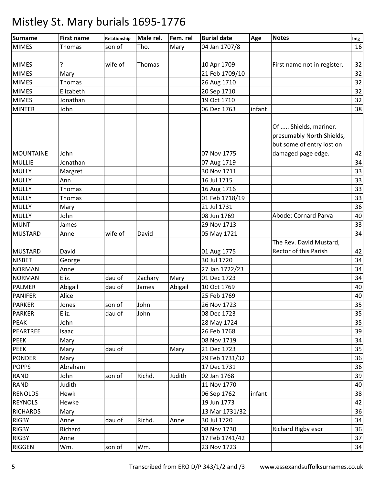| Surname         | <b>First name</b> | Relationship | Male rel. | Fem. rel | <b>Burial date</b> | Age    | <b>Notes</b>                                                                                          | Img |
|-----------------|-------------------|--------------|-----------|----------|--------------------|--------|-------------------------------------------------------------------------------------------------------|-----|
| <b>MIMES</b>    | Thomas            | son of       | Tho.      | Mary     | 04 Jan 1707/8      |        |                                                                                                       | 16  |
|                 |                   |              |           |          |                    |        |                                                                                                       |     |
| <b>MIMES</b>    | ?                 | wife of      | Thomas    |          | 10 Apr 1709        |        | First name not in register.                                                                           | 32  |
| <b>MIMES</b>    | Mary              |              |           |          | 21 Feb 1709/10     |        |                                                                                                       | 32  |
| <b>MIMES</b>    | Thomas            |              |           |          | 26 Aug 1710        |        |                                                                                                       | 32  |
| <b>MIMES</b>    | Elizabeth         |              |           |          | 20 Sep 1710        |        |                                                                                                       | 32  |
| <b>MIMES</b>    | Jonathan          |              |           |          | 19 Oct 1710        |        |                                                                                                       | 32  |
| <b>MINTER</b>   | John              |              |           |          | 06 Dec 1763        | infant |                                                                                                       | 38  |
| MOUNTAINE       | John              |              |           |          | 07 Nov 1775        |        | Of  Shields, mariner.<br>presumably North Shields,<br>but some of entry lost on<br>damaged page edge. | 42  |
| <b>MULLIE</b>   | Jonathan          |              |           |          | 07 Aug 1719        |        |                                                                                                       | 34  |
| <b>MULLY</b>    | Margret           |              |           |          | 30 Nov 1711        |        |                                                                                                       | 33  |
| <b>MULLY</b>    | Ann               |              |           |          | 16 Jul 1715        |        |                                                                                                       | 33  |
| <b>MULLY</b>    | Thomas            |              |           |          | 16 Aug 1716        |        |                                                                                                       | 33  |
| <b>MULLY</b>    | Thomas            |              |           |          | 01 Feb 1718/19     |        |                                                                                                       | 33  |
| <b>MULLY</b>    | Mary              |              |           |          | 21 Jul 1731        |        |                                                                                                       | 36  |
| <b>MULLY</b>    | John              |              |           |          | 08 Jun 1769        |        | Abode: Cornard Parva                                                                                  | 40  |
| <b>MUNT</b>     | James             |              |           |          | 29 Nov 1713        |        |                                                                                                       | 33  |
| <b>MUSTARD</b>  | Anne              | wife of      | David     |          | 05 May 1721        |        |                                                                                                       | 34  |
| <b>MUSTARD</b>  | David             |              |           |          | 01 Aug 1775        |        | The Rev. David Mustard,<br>Rector of this Parish                                                      | 42  |
| <b>NISBET</b>   | George            |              |           |          | 30 Jul 1720        |        |                                                                                                       | 34  |
| NORMAN          | Anne              |              |           |          | 27 Jan 1722/23     |        |                                                                                                       | 34  |
| <b>NORMAN</b>   | Eliz.             | dau of       | Zachary   | Mary     | 01 Dec 1723        |        |                                                                                                       | 34  |
| <b>PALMER</b>   | Abigail           | dau of       | James     | Abigail  | 10 Oct 1769        |        |                                                                                                       | 40  |
| <b>PANIFER</b>  | Alice             |              |           |          | 25 Feb 1769        |        |                                                                                                       | 40  |
| <b>PARKER</b>   | Jones             | son of       | John      |          | 26 Nov 1723        |        |                                                                                                       | 35  |
| <b>PARKER</b>   | Eliz.             | dau of       | John      |          | 08 Dec 1723        |        |                                                                                                       | 35  |
| <b>PEAK</b>     | John              |              |           |          | 28 May 1724        |        |                                                                                                       | 35  |
| PEARTREE        | Isaac             |              |           |          | 26 Feb 1768        |        |                                                                                                       | 39  |
| <b>PEEK</b>     | Mary              |              |           |          | 08 Nov 1719        |        |                                                                                                       | 34  |
| <b>PEEK</b>     | Mary              | dau of       |           | Mary     | 21 Dec 1723        |        |                                                                                                       | 35  |
| <b>PONDER</b>   | Mary              |              |           |          | 29 Feb 1731/32     |        |                                                                                                       | 36  |
| <b>POPPS</b>    | Abraham           |              |           |          | 17 Dec 1731        |        |                                                                                                       | 36  |
| <b>RAND</b>     | John              | son of       | Richd.    | Judith   | 02 Jan 1768        |        |                                                                                                       | 39  |
| <b>RAND</b>     | Judith            |              |           |          | 11 Nov 1770        |        |                                                                                                       | 40  |
| <b>RENOLDS</b>  | Hewk              |              |           |          | 06 Sep 1762        | infant |                                                                                                       | 38  |
| <b>REYNOLS</b>  | Hewke             |              |           |          | 19 Jun 1773        |        |                                                                                                       | 42  |
| <b>RICHARDS</b> | Mary              |              |           |          | 13 Mar 1731/32     |        |                                                                                                       | 36  |
| <b>RIGBY</b>    | Anne              | dau of       | Richd.    | Anne     | 30 Jul 1720        |        |                                                                                                       | 34  |
| <b>RIGBY</b>    | Richard           |              |           |          | 08 Nov 1730        |        | Richard Rigby esqr                                                                                    | 36  |
| <b>RIGBY</b>    | Anne              |              |           |          | 17 Feb 1741/42     |        |                                                                                                       | 37  |
| RIGGEN          | Wm.               | son of       | Wm.       |          | 23 Nov 1723        |        |                                                                                                       | 34  |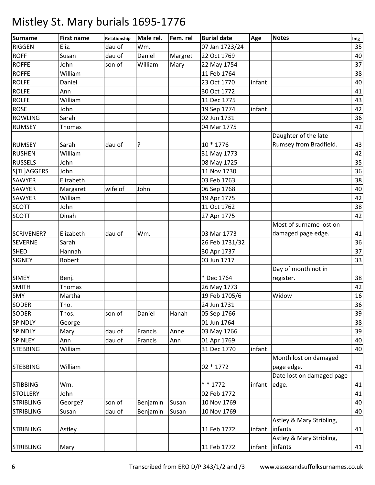| <b>Surname</b>    | <b>First name</b> | Relationship | Male rel. | Fem. rel | <b>Burial date</b> | Age    | <b>Notes</b>              | Img |
|-------------------|-------------------|--------------|-----------|----------|--------------------|--------|---------------------------|-----|
| <b>RIGGEN</b>     | Eliz.             | dau of       | Wm.       |          | 07 Jan 1723/24     |        |                           | 35  |
| <b>ROFF</b>       | Susan             | dau of       | Daniel    | Margret  | 22 Oct 1769        |        |                           | 40  |
| <b>ROFFE</b>      | John              | son of       | William   | Mary     | 22 May 1754        |        |                           | 37  |
| <b>ROFFE</b>      | William           |              |           |          | 11 Feb 1764        |        |                           | 38  |
| <b>ROLFE</b>      | Daniel            |              |           |          | 23 Oct 1770        | infant |                           | 40  |
| <b>ROLFE</b>      | Ann               |              |           |          | 30 Oct 1772        |        |                           | 41  |
| <b>ROLFE</b>      | William           |              |           |          | 11 Dec 1775        |        |                           | 43  |
| <b>ROSE</b>       | John              |              |           |          | 19 Sep 1774        | infant |                           | 42  |
| <b>ROWLING</b>    | Sarah             |              |           |          | 02 Jun 1731        |        |                           | 36  |
| <b>RUMSEY</b>     | Thomas            |              |           |          | 04 Mar 1775        |        |                           | 42  |
|                   |                   |              |           |          |                    |        | Daughter of the late      |     |
| <b>RUMSEY</b>     | Sarah             | dau of       |           |          | 10 * 1776          |        | Rumsey from Bradfield.    | 43  |
| <b>RUSHEN</b>     | William           |              |           |          | 31 May 1773        |        |                           | 42  |
| <b>RUSSELS</b>    | John              |              |           |          | 08 May 1725        |        |                           | 35  |
| S[TL]AGGERS       | John              |              |           |          | 11 Nov 1730        |        |                           | 36  |
| <b>SAWYER</b>     | Elizabeth         |              |           |          | 03 Feb 1763        |        |                           | 38  |
| <b>SAWYER</b>     | Margaret          | wife of      | John      |          | 06 Sep 1768        |        |                           | 40  |
| <b>SAWYER</b>     | William           |              |           |          | 19 Apr 1775        |        |                           | 42  |
| <b>SCOTT</b>      | John              |              |           |          | 11 Oct 1762        |        |                           | 38  |
| <b>SCOTT</b>      | Dinah             |              |           |          | 27 Apr 1775        |        |                           | 42  |
|                   |                   |              |           |          |                    |        | Most of surname lost on   |     |
| <b>SCRIVENER?</b> | Elizabeth         | dau of       | Wm.       |          | 03 Mar 1773        |        | damaged page edge.        | 41  |
| <b>SEVERNE</b>    | Sarah             |              |           |          | 26 Feb 1731/32     |        |                           | 36  |
| <b>SHED</b>       | Hannah            |              |           |          | 30 Apr 1737        |        |                           | 37  |
| <b>SIGNEY</b>     | Robert            |              |           |          | 03 Jun 1717        |        |                           | 33  |
|                   |                   |              |           |          |                    |        | Day of month not in       |     |
| <b>SIMEY</b>      | Benj.             |              |           |          | * Dec 1764         |        | register.                 | 38  |
| <b>SMITH</b>      | Thomas            |              |           |          | 26 May 1773        |        |                           | 42  |
| <b>SMY</b>        | Martha            |              |           |          | 19 Feb 1705/6      |        | Widow                     | 16  |
| <b>SODER</b>      | Tho.              |              |           |          | 24 Jun 1731        |        |                           | 36  |
| <b>SODER</b>      | Thos.             | son of       | Daniel    | Hanah    | 05 Sep 1766        |        |                           | 39  |
| <b>SPINDLY</b>    | George            |              |           |          | 01 Jun 1764        |        |                           | 38  |
| <b>SPINDLY</b>    | Mary              | dau of       | Francis   | Anne     | 03 May 1766        |        |                           | 39  |
| <b>SPINLEY</b>    | Ann               | dau of       | Francis   | Ann      | 01 Apr 1769        |        |                           | 40  |
| <b>STEBBING</b>   | William           |              |           |          | 31 Dec 1770        | infant |                           | 40  |
|                   |                   |              |           |          |                    |        | Month lost on damaged     |     |
| <b>STEBBING</b>   | William           |              |           |          | 02 * 1772          |        | page edge.                | 41  |
|                   |                   |              |           |          |                    |        | Date lost on damaged page |     |
| <b>STIBBING</b>   | Wm.               |              |           |          | * * 1772           | infant | edge.                     | 41  |
| <b>STOLLERY</b>   | John              |              |           |          | 02 Feb 1772        |        |                           | 41  |
| <b>STRIBLING</b>  | George?           | son of       | Benjamin  | Susan    | 10 Nov 1769        |        |                           | 40  |
| <b>STRIBLING</b>  | Susan             | dau of       | Benjamin  | Susan    | 10 Nov 1769        |        |                           | 40  |
|                   |                   |              |           |          |                    |        | Astley & Mary Stribling,  |     |
| <b>STRIBLING</b>  | Astley            |              |           |          | 11 Feb 1772        |        | infant infants            | 41  |
|                   |                   |              |           |          |                    |        | Astley & Mary Stribling,  |     |
| <b>STRIBLING</b>  | Mary              |              |           |          | 11 Feb 1772        |        | infant infants            | 41  |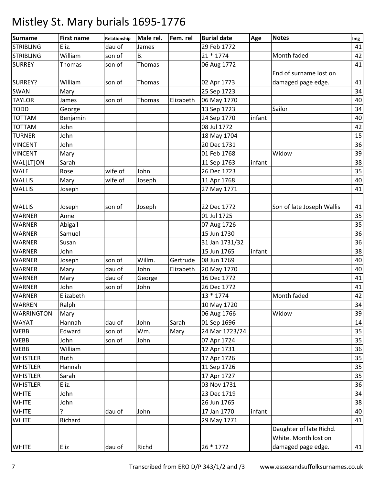| <b>Surname</b>    | <b>First name</b> | Relationship | Male rel. | Fem. rel  | <b>Burial date</b> | Age    | <b>Notes</b>              | Img |
|-------------------|-------------------|--------------|-----------|-----------|--------------------|--------|---------------------------|-----|
| <b>STRIBLING</b>  | Eliz.             | dau of       | James     |           | 29 Feb 1772        |        |                           | 41  |
| <b>STRIBLING</b>  | William           | son of       | <b>B.</b> |           | $21 * 1774$        |        | Month faded               | 42  |
| <b>SURREY</b>     | Thomas            | son of       | Thomas    |           | 06 Aug 1772        |        |                           | 41  |
|                   |                   |              |           |           |                    |        | End of surname lost on    |     |
| SURREY?           | William           | son of       | Thomas    |           | 02 Apr 1773        |        | damaged page edge.        | 41  |
| SWAN              | Mary              |              |           |           | 25 Sep 1723        |        |                           | 34  |
| <b>TAYLOR</b>     | James             | son of       | Thomas    | Elizabeth | 06 May 1770        |        |                           | 40  |
| <b>TODD</b>       | George            |              |           |           | 13 Sep 1723        |        | Sailor                    | 34  |
| <b>TOTTAM</b>     | Benjamin          |              |           |           | 24 Sep 1770        | infant |                           | 40  |
| <b>TOTTAM</b>     | John              |              |           |           | 08 Jul 1772        |        |                           | 42  |
| <b>TURNER</b>     | John              |              |           |           | 18 May 1704        |        |                           | 15  |
| <b>VINCENT</b>    | John              |              |           |           | 20 Dec 1731        |        |                           | 36  |
| <b>VINCENT</b>    | Mary              |              |           |           | 01 Feb 1768        |        | Widow                     | 39  |
| WAL[LT]ON         | Sarah             |              |           |           | 11 Sep 1763        | infant |                           | 38  |
| <b>WALE</b>       | Rose              | wife of      | John      |           | 26 Dec 1723        |        |                           | 35  |
| <b>WALLIS</b>     | Mary              | wife of      | Joseph    |           | 11 Apr 1768        |        |                           | 40  |
| <b>WALLIS</b>     | Joseph            |              |           |           | 27 May 1771        |        |                           | 41  |
| <b>WALLIS</b>     | Joseph            | son of       | Joseph    |           | 22 Dec 1772        |        | Son of late Joseph Wallis | 41  |
| <b>WARNER</b>     | Anne              |              |           |           | 01 Jul 1725        |        |                           | 35  |
| <b>WARNER</b>     | Abigail           |              |           |           | 07 Aug 1726        |        |                           | 35  |
| <b>WARNER</b>     | Samuel            |              |           |           | 15 Jun 1730        |        |                           | 36  |
| <b>WARNER</b>     | Susan             |              |           |           | 31 Jan 1731/32     |        |                           | 36  |
| <b>WARNER</b>     | John              |              |           |           | 15 Jun 1765        | infant |                           | 38  |
| <b>WARNER</b>     | Joseph            | son of       | Willm.    | Gertrude  | 08 Jun 1769        |        |                           | 40  |
| <b>WARNER</b>     | Mary              | dau of       | John      | Elizabeth | 20 May 1770        |        |                           | 40  |
| <b>WARNER</b>     | Mary              | dau of       | George    |           | 16 Dec 1772        |        |                           | 41  |
| <b>WARNER</b>     | John              | son of       | John      |           | 26 Dec 1772        |        |                           | 41  |
| <b>WARNER</b>     | Elizabeth         |              |           |           | 13 * 1774          |        | Month faded               | 42  |
| <b>WARREN</b>     | Ralph             |              |           |           | 10 May 1720        |        |                           | 34  |
| <b>WARRINGTON</b> | Mary              |              |           |           | 06 Aug 1766        |        | Widow                     | 39  |
| <b>WAYAT</b>      | Hannah            | dau of       | John      | Sarah     | 01 Sep 1696        |        |                           | 14  |
| WEBB              | Edward            | son of       | Wm.       | Mary      | 24 Mar 1723/24     |        |                           | 35  |
| <b>WEBB</b>       | John              | son of       | John      |           | 07 Apr 1724        |        |                           | 35  |
| <b>WEBB</b>       | William           |              |           |           | 12 Apr 1731        |        |                           | 36  |
| <b>WHISTLER</b>   | Ruth              |              |           |           | 17 Apr 1726        |        |                           | 35  |
| <b>WHISTLER</b>   | Hannah            |              |           |           | 11 Sep 1726        |        |                           | 35  |
| <b>WHISTLER</b>   | Sarah             |              |           |           | 17 Apr 1727        |        |                           | 35  |
| <b>WHISTLER</b>   | Eliz.             |              |           |           | 03 Nov 1731        |        |                           | 36  |
| <b>WHITE</b>      | John              |              |           |           | 23 Dec 1719        |        |                           | 34  |
| <b>WHITE</b>      | John              |              |           |           | 26 Jun 1765        |        |                           | 38  |
| <b>WHITE</b>      | ?                 | dau of       | John      |           | 17 Jan 1770        | infant |                           | 40  |
| <b>WHITE</b>      | Richard           |              |           |           | 29 May 1771        |        |                           | 41  |
|                   |                   |              |           |           |                    |        | Daughter of late Richd.   |     |
|                   |                   |              |           |           |                    |        | White. Month lost on      |     |
| <b>WHITE</b>      | Eliz              | dau of       | Richd     |           | 26 * 1772          |        | damaged page edge.        | 41  |